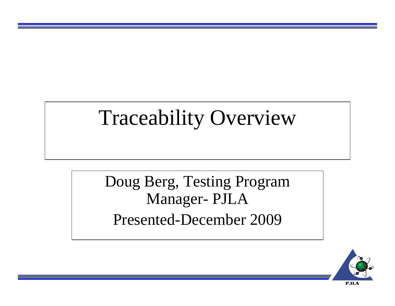### Traceability Overview

Doug Berg, Testing Program Manager- PJLA Presented-December 2009

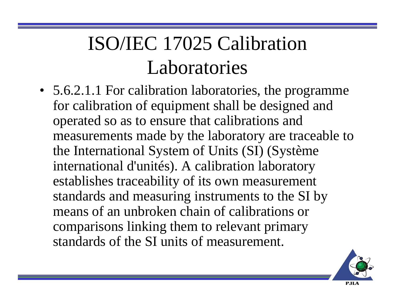• 5.6.2.1.1 For calibration laboratories, the programme for calibration of equipment shall be designed and operated so as to ensure that calibrations and measurements made by the laboratory are traceable to the International System of Units (SI) (Système international d'unités). A calibration laboratory establishes traceability of its own measurement standards and measuring instruments to the SI by means of an unbroken chain of calibrations or comparisons linking them to relevant primary standards of the SI units of measurement.

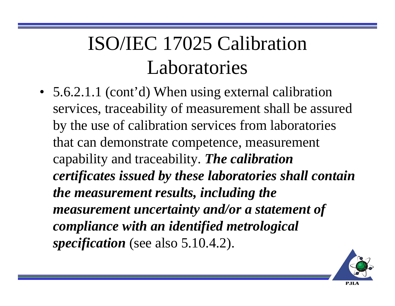• 5.6.2.1.1 (cont'd) When using external calibration services, traceability of measurement shall be assured by the use of calibration services from laboratories that can demonstrate competence, measurement capability and traceability. *The calibration certificates issued by these laboratories shall contain the measurement results, including the measurement uncertainty and/or a statement of compliance with an identified metrological specification* (see also 5.10.4.2).

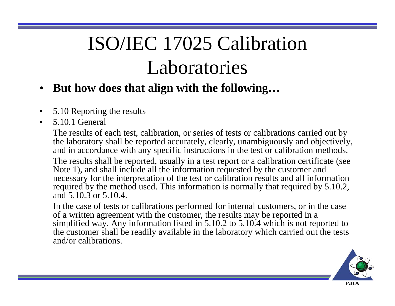- $\bullet$ **But how does that align with the following…**
- •5.10 Reporting the results
- $\bullet$ 5.10.1 General

The results of each test, calibration, or series of tests or calibrations carried out by the laboratory shall be reported accurately, clearly, unambiguously and objectively, and in accordance with any specific instructions in the test or calibration methods.

The results shall be reported, usually in a test report or a calibration certificate (see Note 1), and shall include all the information requested by the customer and necessary for the interpretation of the test or calibration results and all information required by the method used. This information is normally that required by 5.10.2, and 5.10.3 or 5.10.4.

In the case of tests or calibrations performed for internal customers, or in the case of a written agreement with the customer, the results may be reported in a simplified way. Any information listed in 5.10.2 to 5.10.4 which is not reported to the customer shall be readily available in the laboratory which carried out the tests and/or calibrations.

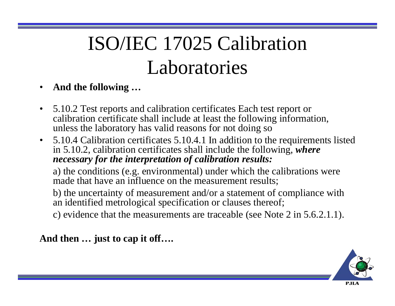- •**And the following …**
- $\bullet$  5.10.2 Test reports and calibration certificates Each test report or calibration certificate shall include at least the following information, unless the laboratory has valid reasons for not doing so
- 5.10.4 Calibration certificates 5.10.4.1 In addition to the requirements listed in 5.10.2, calibration certificates shall include the following, *where necessary for the interpretation of calibration results:*

a) the conditions (e.g. environmental) under which the calibrations were made that have an influence on the measurement results;

b) the uncertainty of measurement and/or a statement of compliance with an identified metrological specification or clauses thereof;

c) evidence that the measurements are traceable (see Note 2 in 5.6.2.1.1).

**And then … just to cap it off….**

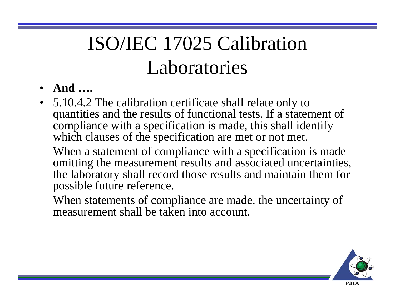- **And ….**
- 5.10.4.2 The calibration certificate shall relate only to quantities and the results of functional tests. If a statement of compliance with a specification is made, this shall identify which clauses of the specification are met or not met.

When a statement of compliance with a specification is made omitting the measurement results and associated uncertainties, the laboratory shall record those results and maintain them for possible future reference.

When statements of compliance are made, the uncertainty of measurement shall be taken into account.

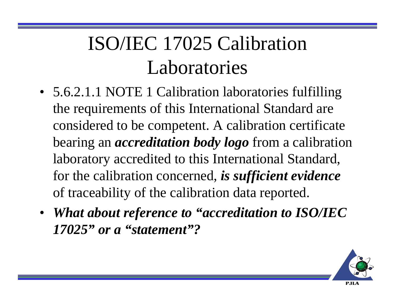- 5.6.2.1.1 NOTE 1 Calibration laboratories fulfilling the requirements of this International Standard are considered to be competent. A calibration certificate bearing an *accreditation body logo* from a calibration laboratory accredited to this International Standard, for the calibration concerned, *is sufficient evidence* of traceability of the calibration data reported.
- *What about reference to "accreditation to ISO/IEC 17025" or a "statement"?*

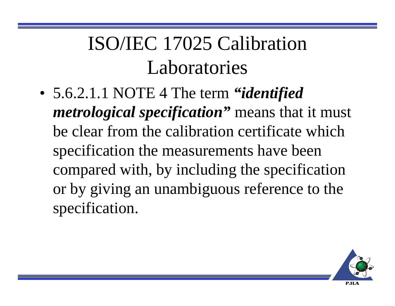• 5.6.2.1.1 NOTE 4 The term *"identified metrological specification"* means that it must be clear from the calibration certificate which specification the measurements have been compared with, by including the specification or by giving an unambiguous reference to the specification.

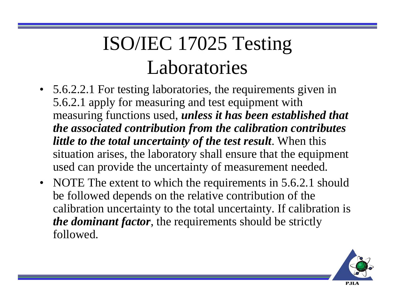## ISO/IEC 17025 Testing Laboratories

- 5.6.2.2.1 For testing laboratories, the requirements given in 5.6.2.1 apply for measuring and test equipment with measuring functions used, *unless it has been established that the associated contribution from the calibration contributes little to the total uncertainty of the test result*. When this situation arises, the laboratory shall ensure that the equipment used can provide the uncertainty of measurement needed.
- NOTE The extent to which the requirements in 5.6.2.1 should be followed depends on the relative contribution of the calibration uncertainty to the total uncertainty. If calibration is *the dominant factor*, the requirements should be strictly followed.

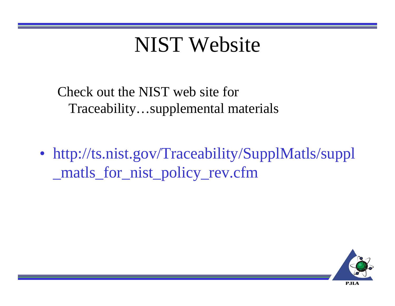#### NIST Website

Check out the NIST web site for Traceability…supplemental materials

• http://ts.nist.gov/Traceability/SupplMatls/suppl \_matls\_for\_nist\_policy\_rev.cfm

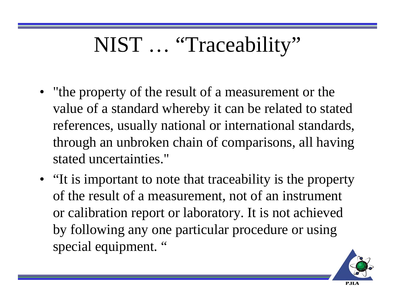# NIST ... "Traceability"

- "the property of the result of a measurement or the value of a standard whereby it can be related to stated references, usually national or international standards, through an unbroken chain of comparisons, all having stated uncertainties."
- "It is important to note that traceability is the property of the result of a measurement, not of an instrument or calibration report or laboratory. It is not achieved by following any one particular procedure or using special equipment. "

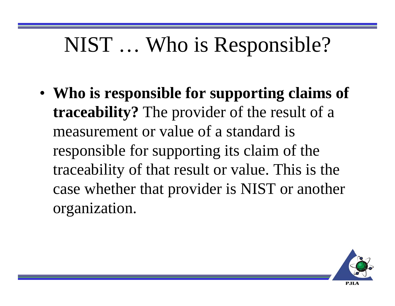## NIST … Who is Responsible?

• **Who is responsible for supporting claims of traceability?** The provider of the result of a measurement or value of a standard is responsible for supporting its claim of the traceability of that result or value. This is the case whether that provider is NIST or another organization.

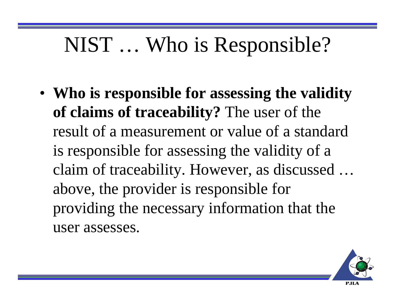## NIST … Who is Responsible?

• **Who is responsible for assessing the validity of claims of traceability?** The user of the result of a measurement or value of a standard is responsible for assessing the validity of a claim of traceability. However, as discussed … above, the provider is responsible for providing the necessary information that the user assesses.

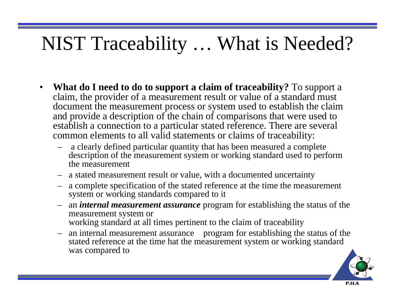### NIST Traceability … What is Needed?

- $\bullet$  **What do I need to do to support a claim of traceability?** To support a claim, the provider of a measurement result or value of a standard must document the measurement process or system used to establish the claim and provide a description of the chain of comparisons that were used to establish a connection to a particular stated reference. There are several common elements to all valid statements or claims of traceability:
	- a clearly defined particular quantity that has been measured a complete description of the measurement system or working standard used to perform the measurement
	- a stated measurement result or value, with a documented uncertainty
	- a complete specification of the stated reference at the time the measurement system or working standards compared to it
	- an *internal measurement assurance* program for establishing the status of the measurement system or working standard at all times pertinent to the claim of traceability
	- an internal measurement assurance program for establishing the status of the stated reference at the time hat the measurement system or working standard was compared to

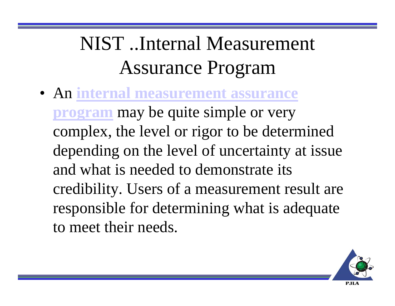## NIST ..Internal Measurement Assurance Program

• An **internal measurement assurance program** may be quite simple or very complex, the level or rigor to be determined depending on the level of uncertainty at issue and what is needed to demonstrate its credibility. Users of a measurement result are responsible for determining what is adequate to meet their needs.

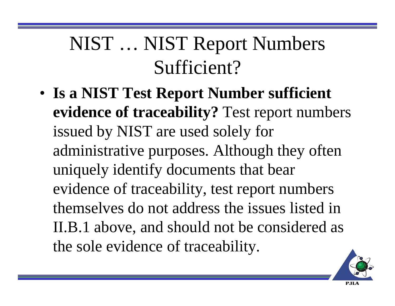### NIST … NIST Report Numbers Sufficient?

• **Is a NIST Test Report Number sufficient evidence of traceability?** Test report numbers issued by NIST are used solely for administrative purposes. Although they often uniquely identify documents that bear evidence of traceability, test report numbers themselves do not address the issues listed in II.B.1 above, and should not be considered as the sole evidence of traceability.